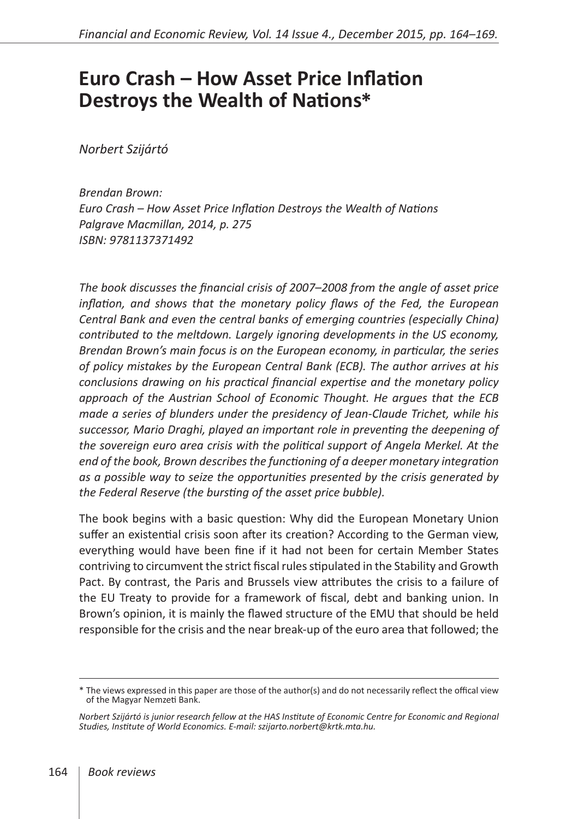## **Euro Crash – How Asset Price Inflation Destroys the Wealth of Nations \***

*Norbert Szijártó*

*Brendan Brown: Euro Crash – How Asset Price Inflation Destroys the Wealth of Nations Palgrave Macmillan, 2014, p. 275 ISBN: 9781137371492*

*The book discusses the financial crisis of 2007–2008 from the angle of asset price inflation, and shows that the monetary policy flaws of the Fed, the European Central Bank and even the central banks of emerging countries (especially China) contributed to the meltdown. Largely ignoring developments in the US economy, Brendan Brown's main focus is on the European economy, in particular, the series of policy mistakes by the European Central Bank (ECB). The author arrives at his conclusions drawing on his practical financial expertise and the monetary policy approach of the Austrian School of Economic Thought. He argues that the ECB made a series of blunders under the presidency of Jean-Claude Trichet, while his successor, Mario Draghi, played an important role in preventing the deepening of the sovereign euro area crisis with the political support of Angela Merkel. At the end of the book, Brown describes the functioning of a deeper monetary integration as a possible way to seize the opportunities presented by the crisis generated by the Federal Reserve (the bursting of the asset price bubble).*

The book begins with a basic question: Why did the European Monetary Union suffer an existential crisis soon after its creation? According to the German view, everything would have been fine if it had not been for certain Member States contriving to circumvent the strict fiscal rules stipulated in the Stability and Growth Pact. By contrast, the Paris and Brussels view attributes the crisis to a failure of the EU Treaty to provide for a framework of fiscal, debt and banking union. In Brown's opinion, it is mainly the flawed structure of the EMU that should be held responsible for the crisis and the near break-up of the euro area that followed; the

<sup>\*</sup> The views expressed in this paper are those of the author(s) and do not necessarily reflect the offical view of the Magyar Nemzeti Bank.

*Norbert Szijártó is junior research fellow at the HAS Institute of Economic Centre for Economic and Regional Studies, Institute of World Economics. E-mail: szijarto.norbert@krtk.mta.hu.*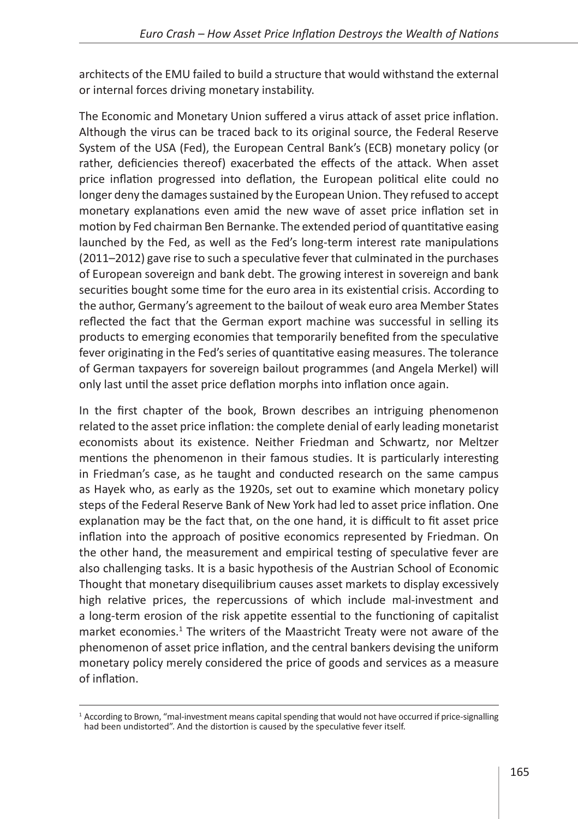architects of the EMU failed to build a structure that would withstand the external or internal forces driving monetary instability.

The Economic and Monetary Union suffered a virus attack of asset price inflation. Although the virus can be traced back to its original source, the Federal Reserve System of the USA (Fed), the European Central Bank's (ECB) monetary policy (or rather, deficiencies thereof) exacerbated the effects of the attack. When asset price inflation progressed into deflation, the European political elite could no longer deny the damages sustained by the European Union. They refused to accept monetary explanations even amid the new wave of asset price inflation set in motion by Fed chairman Ben Bernanke. The extended period of quantitative easing launched by the Fed, as well as the Fed's long-term interest rate manipulations (2011–2012) gave rise to such a speculative fever that culminated in the purchases of European sovereign and bank debt. The growing interest in sovereign and bank securities bought some time for the euro area in its existential crisis. According to the author, Germany's agreement to the bailout of weak euro area Member States reflected the fact that the German export machine was successful in selling its products to emerging economies that temporarily benefited from the speculative fever originating in the Fed's series of quantitative easing measures. The tolerance of German taxpayers for sovereign bailout programmes (and Angela Merkel) will only last until the asset price deflation morphs into inflation once again.

In the first chapter of the book, Brown describes an intriguing phenomenon related to the asset price inflation: the complete denial of early leading monetarist economists about its existence. Neither Friedman and Schwartz, nor Meltzer mentions the phenomenon in their famous studies. It is particularly interesting in Friedman's case, as he taught and conducted research on the same campus as Hayek who, as early as the 1920s, set out to examine which monetary policy steps of the Federal Reserve Bank of New York had led to asset price inflation. One explanation may be the fact that, on the one hand, it is difficult to fit asset price inflation into the approach of positive economics represented by Friedman. On the other hand, the measurement and empirical testing of speculative fever are also challenging tasks. It is a basic hypothesis of the Austrian School of Economic Thought that monetary disequilibrium causes asset markets to display excessively high relative prices, the repercussions of which include mal-investment and a long-term erosion of the risk appetite essential to the functioning of capitalist market economies.<sup>1</sup> The writers of the Maastricht Treaty were not aware of the phenomenon of asset price inflation, and the central bankers devising the uniform monetary policy merely considered the price of goods and services as a measure of inflation.

<sup>&</sup>lt;sup>1</sup> According to Brown, "mal-investment means capital spending that would not have occurred if price-signalling had been undistorted". And the distortion is caused by the speculative fever itself.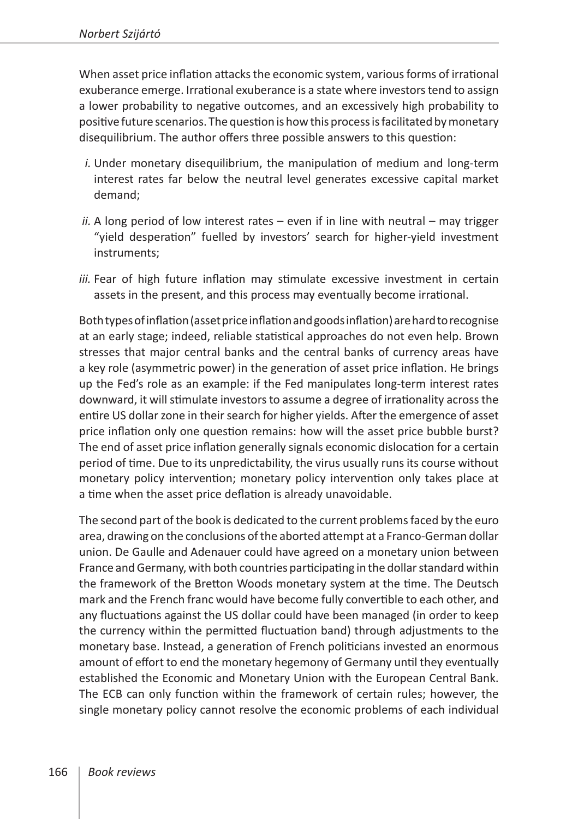When asset price inflation attacks the economic system, various forms of irrational exuberance emerge. Irrational exuberance is a state where investors tend to assign a lower probability to negative outcomes, and an excessively high probability to positive future scenarios. The question is how this process is facilitated by monetary disequilibrium. The author offers three possible answers to this question:

- *i.* Under monetary disequilibrium, the manipulation of medium and long-term interest rates far below the neutral level generates excessive capital market demand;
- *ii.* A long period of low interest rates even if in line with neutral may trigger "yield desperation" fuelled by investors' search for higher-yield investment instruments;
- *iii.* Fear of high future inflation may stimulate excessive investment in certain assets in the present, and this process may eventually become irrational.

Both types of inflation (asset price inflation and goods inflation) are hard to recognise at an early stage; indeed, reliable statistical approaches do not even help. Brown stresses that major central banks and the central banks of currency areas have a key role (asymmetric power) in the generation of asset price inflation. He brings up the Fed's role as an example: if the Fed manipulates long-term interest rates downward, it will stimulate investors to assume a degree of irrationality across the entire US dollar zone in their search for higher yields. After the emergence of asset price inflation only one question remains: how will the asset price bubble burst? The end of asset price inflation generally signals economic dislocation for a certain period of time. Due to its unpredictability, the virus usually runs its course without monetary policy intervention; monetary policy intervention only takes place at a time when the asset price deflation is already unavoidable.

The second part of the book is dedicated to the current problems faced by the euro area, drawing on the conclusions of the aborted attempt at a Franco-German dollar union. De Gaulle and Adenauer could have agreed on a monetary union between France and Germany, with both countries participating in the dollar standard within the framework of the Bretton Woods monetary system at the time. The Deutsch mark and the French franc would have become fully convertible to each other, and any fluctuations against the US dollar could have been managed (in order to keep the currency within the permitted fluctuation band) through adjustments to the monetary base. Instead, a generation of French politicians invested an enormous amount of effort to end the monetary hegemony of Germany until they eventually established the Economic and Monetary Union with the European Central Bank. The ECB can only function within the framework of certain rules; however, the single monetary policy cannot resolve the economic problems of each individual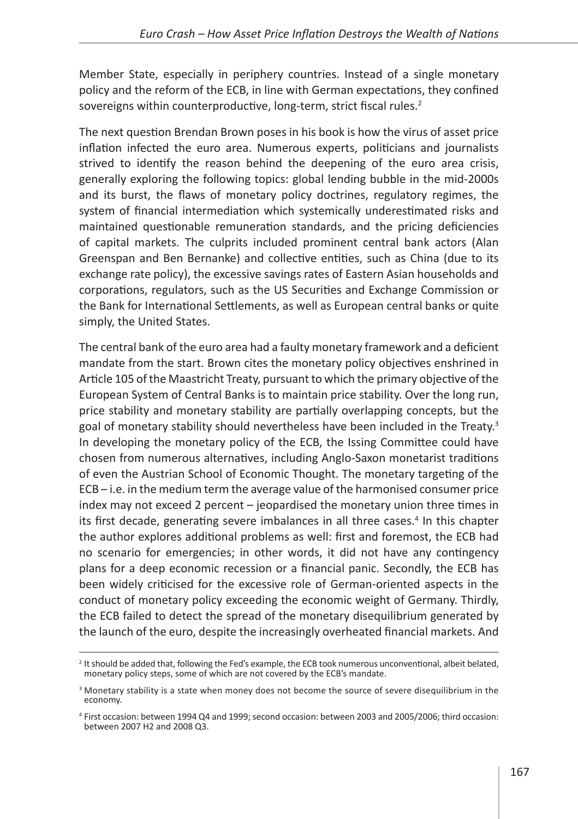Member State, especially in periphery countries. Instead of a single monetary policy and the reform of the ECB, in line with German expectations, they confined sovereigns within counterproductive, long-term, strict fiscal rules.<sup>2</sup>

The next question Brendan Brown poses in his book is how the virus of asset price inflation infected the euro area. Numerous experts, politicians and journalists strived to identify the reason behind the deepening of the euro area crisis, generally exploring the following topics: global lending bubble in the mid-2000s and its burst, the flaws of monetary policy doctrines, regulatory regimes, the system of financial intermediation which systemically underestimated risks and maintained questionable remuneration standards, and the pricing deficiencies of capital markets. The culprits included prominent central bank actors (Alan Greenspan and Ben Bernanke) and collective entities, such as China (due to its exchange rate policy), the excessive savings rates of Eastern Asian households and corporations, regulators, such as the US Securities and Exchange Commission or the Bank for International Settlements, as well as European central banks or quite simply, the United States.

The central bank of the euro area had a faulty monetary framework and a deficient mandate from the start. Brown cites the monetary policy objectives enshrined in Article 105 of the Maastricht Treaty, pursuant to which the primary objective of the European System of Central Banks is to maintain price stability. Over the long run, price stability and monetary stability are partially overlapping concepts, but the goal of monetary stability should nevertheless have been included in the Treaty.<sup>3</sup> In developing the monetary policy of the ECB, the Issing Committee could have chosen from numerous alternatives, including Anglo-Saxon monetarist traditions of even the Austrian School of Economic Thought. The monetary targeting of the ECB – i.e. in the medium term the average value of the harmonised consumer price index may not exceed 2 percent – jeopardised the monetary union three times in its first decade, generating severe imbalances in all three cases.<sup>4</sup> In this chapter the author explores additional problems as well: first and foremost, the ECB had no scenario for emergencies; in other words, it did not have any contingency plans for a deep economic recession or a financial panic. Secondly, the ECB has been widely criticised for the excessive role of German-oriented aspects in the conduct of monetary policy exceeding the economic weight of Germany. Thirdly, the ECB failed to detect the spread of the monetary disequilibrium generated by the launch of the euro, despite the increasingly overheated financial markets. And

<sup>&</sup>lt;sup>2</sup> It should be added that, following the Fed's example, the ECB took numerous unconventional, albeit belated, monetary policy steps, some of which are not covered by the ECB's mandate.

<sup>&</sup>lt;sup>3</sup> Monetary stability is a state when money does not become the source of severe disequilibrium in the economy.

<sup>4</sup> First occasion: between 1994 Q4 and 1999; second occasion: between 2003 and 2005/2006; third occasion: between 2007 H2 and 2008 Q3.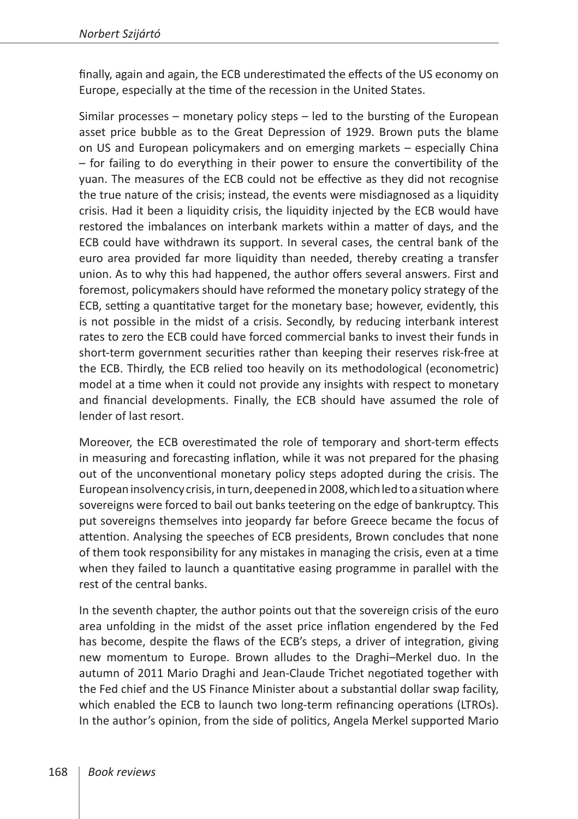finally, again and again, the ECB underestimated the effects of the US economy on Europe, especially at the time of the recession in the United States.

Similar processes – monetary policy steps – led to the bursting of the European asset price bubble as to the Great Depression of 1929. Brown puts the blame on US and European policymakers and on emerging markets – especially China – for failing to do everything in their power to ensure the convertibility of the yuan. The measures of the ECB could not be effective as they did not recognise the true nature of the crisis; instead, the events were misdiagnosed as a liquidity crisis. Had it been a liquidity crisis, the liquidity injected by the ECB would have restored the imbalances on interbank markets within a matter of days, and the ECB could have withdrawn its support. In several cases, the central bank of the euro area provided far more liquidity than needed, thereby creating a transfer union. As to why this had happened, the author offers several answers. First and foremost, policymakers should have reformed the monetary policy strategy of the ECB, setting a quantitative target for the monetary base; however, evidently, this is not possible in the midst of a crisis. Secondly, by reducing interbank interest rates to zero the ECB could have forced commercial banks to invest their funds in short-term government securities rather than keeping their reserves risk-free at the ECB. Thirdly, the ECB relied too heavily on its methodological (econometric) model at a time when it could not provide any insights with respect to monetary and financial developments. Finally, the ECB should have assumed the role of lender of last resort.

Moreover, the ECB overestimated the role of temporary and short-term effects in measuring and forecasting inflation, while it was not prepared for the phasing out of the unconventional monetary policy steps adopted during the crisis. The European insolvency crisis, in turn, deepened in 2008, which led to asituation where sovereigns were forced to bail out banks teetering on the edge of bankruptcy. This put sovereigns themselves into jeopardy far before Greece became the focus of attention. Analysing the speeches of ECB presidents, Brown concludes that none of them took responsibility for any mistakes in managing the crisis, even at a time when they failed to launch a quantitative easing programme in parallel with the rest of the central banks.

In the seventh chapter, the author points out that the sovereign crisis of the euro area unfolding in the midst of the asset price inflation engendered by the Fed has become, despite the flaws of the ECB's steps, a driver of integration, giving new momentum to Europe. Brown alludes to the Draghi–Merkel duo. In the autumn of 2011 Mario Draghi and Jean-Claude Trichet negotiated together with the Fed chief and the US Finance Minister about a substantial dollar swap facility, which enabled the ECB to launch two long-term refinancing operations (LTROs). In the author's opinion, from the side of politics, Angela Merkel supported Mario